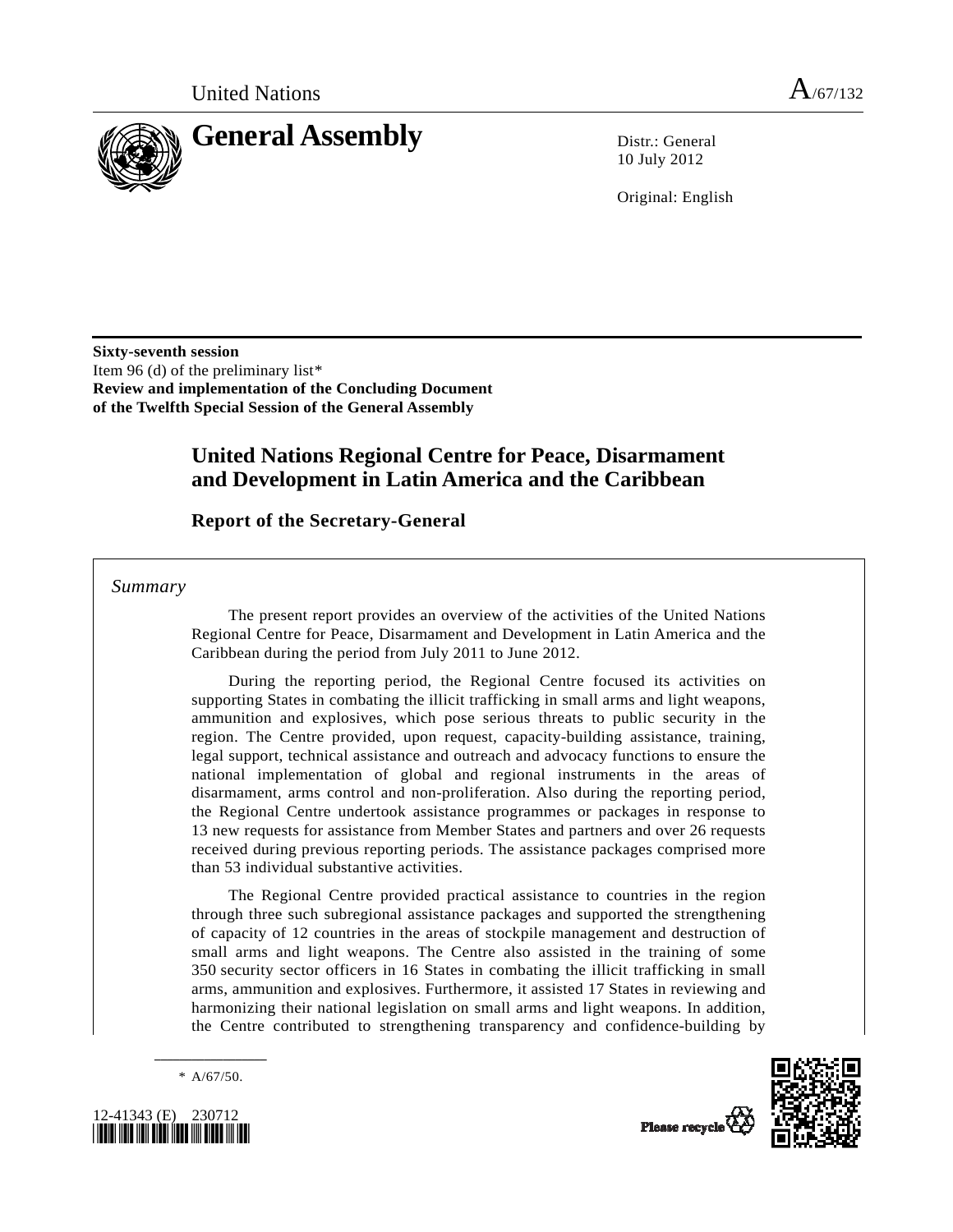

10 July 2012

Original: English

**Sixty-seventh session**  Item 96 (d) of the preliminary list[\\*](#page-0-0) **Review and implementation of the Concluding Document of the Twelfth Special Session of the General Assembly** 

# **United Nations Regional Centre for Peace, Disarmament and Development in Latin America and the Caribbean**

 **Report of the Secretary-General** 

 *Summary* 

 The present report provides an overview of the activities of the United Nations Regional Centre for Peace, Disarmament and Development in Latin America and the Caribbean during the period from July 2011 to June 2012.

 During the reporting period, the Regional Centre focused its activities on supporting States in combating the illicit trafficking in small arms and light weapons, ammunition and explosives, which pose serious threats to public security in the region. The Centre provided, upon request, capacity-building assistance, training, legal support, technical assistance and outreach and advocacy functions to ensure the national implementation of global and regional instruments in the areas of disarmament, arms control and non-proliferation. Also during the reporting period, the Regional Centre undertook assistance programmes or packages in response to 13 new requests for assistance from Member States and partners and over 26 requests received during previous reporting periods. The assistance packages comprised more than 53 individual substantive activities.

 The Regional Centre provided practical assistance to countries in the region through three such subregional assistance packages and supported the strengthening of capacity of 12 countries in the areas of stockpile management and destruction of small arms and light weapons. The Centre also assisted in the training of some 350 security sector officers in 16 States in combating the illicit trafficking in small arms, ammunition and explosives. Furthermore, it assisted 17 States in reviewing and harmonizing their national legislation on small arms and light weapons. In addition, the Centre contributed to strengthening transparency and confidence-building by

**\_\_\_\_\_\_\_\_\_\_\_\_\_\_\_\_\_\_**   $* A/67/50.$ 

<span id="page-0-0"></span>

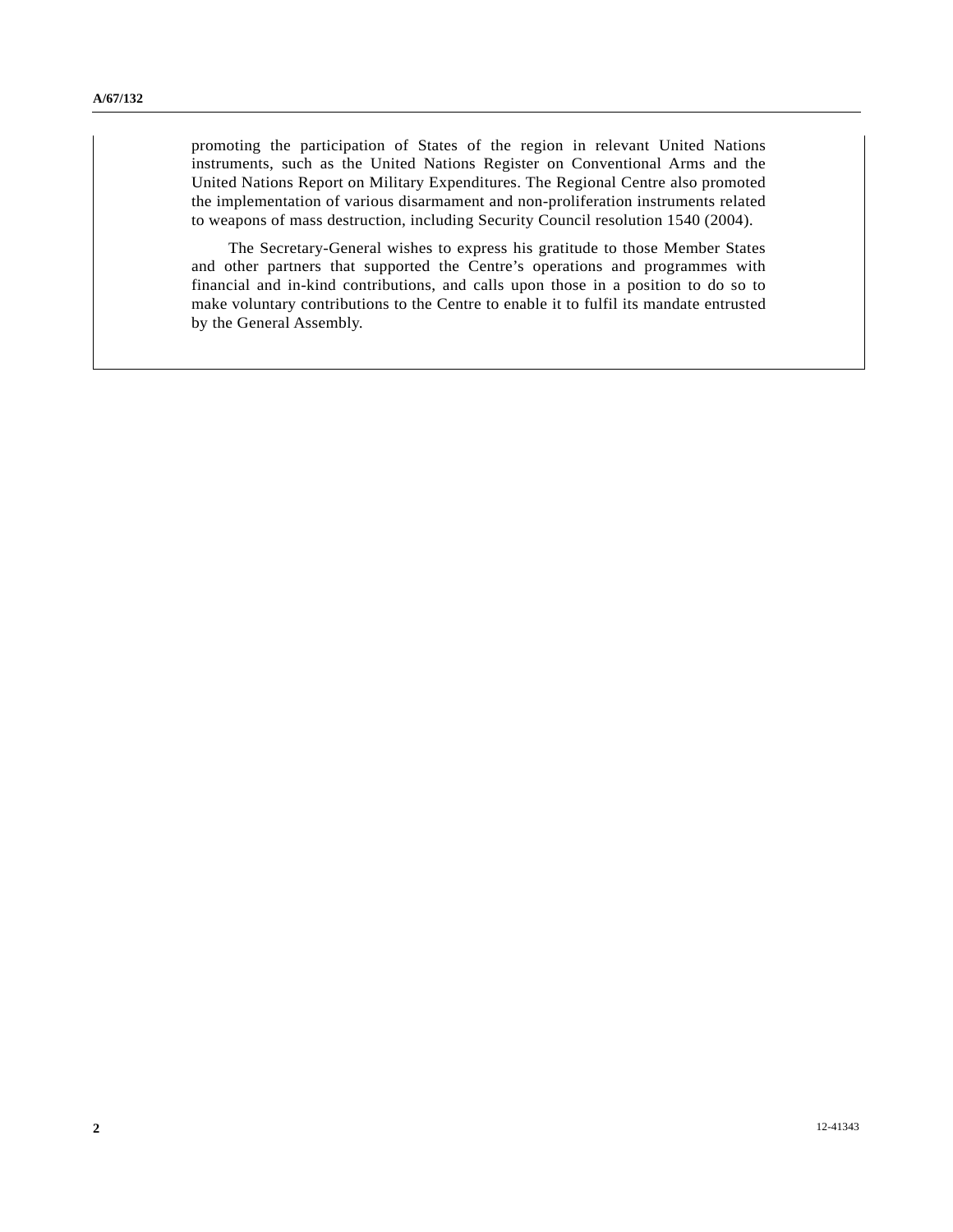promoting the participation of States of the region in relevant United Nations instruments, such as the United Nations Register on Conventional Arms and the United Nations Report on Military Expenditures. The Regional Centre also promoted the implementation of various disarmament and non-proliferation instruments related to weapons of mass destruction, including Security Council resolution 1540 (2004).

 The Secretary-General wishes to express his gratitude to those Member States and other partners that supported the Centre's operations and programmes with financial and in-kind contributions, and calls upon those in a position to do so to make voluntary contributions to the Centre to enable it to fulfil its mandate entrusted by the General Assembly.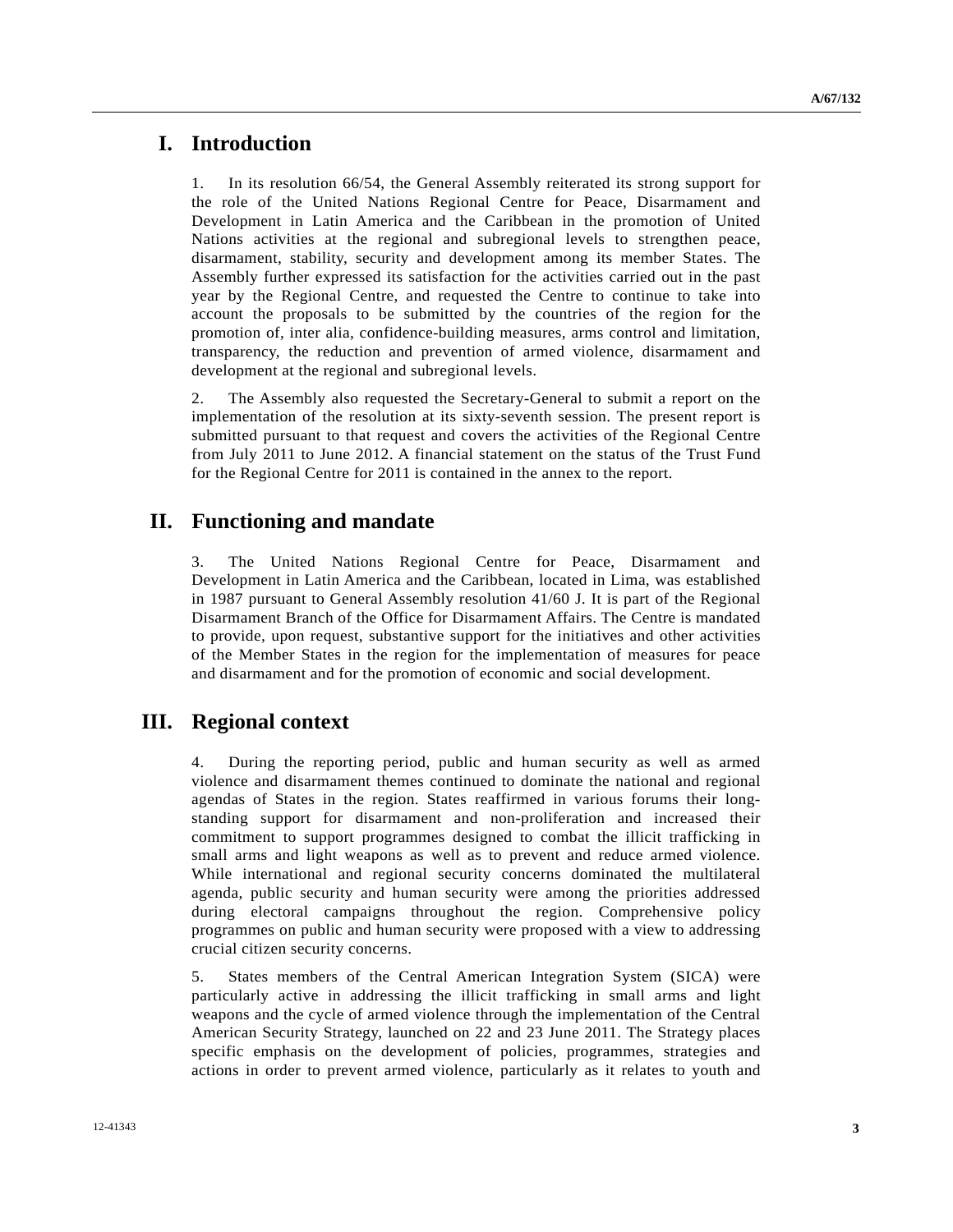## **I. Introduction**

1. In its resolution 66/54, the General Assembly reiterated its strong support for the role of the United Nations Regional Centre for Peace, Disarmament and Development in Latin America and the Caribbean in the promotion of United Nations activities at the regional and subregional levels to strengthen peace, disarmament, stability, security and development among its member States. The Assembly further expressed its satisfaction for the activities carried out in the past year by the Regional Centre, and requested the Centre to continue to take into account the proposals to be submitted by the countries of the region for the promotion of, inter alia, confidence-building measures, arms control and limitation, transparency, the reduction and prevention of armed violence, disarmament and development at the regional and subregional levels.

2. The Assembly also requested the Secretary-General to submit a report on the implementation of the resolution at its sixty-seventh session. The present report is submitted pursuant to that request and covers the activities of the Regional Centre from July 2011 to June 2012. A financial statement on the status of the Trust Fund for the Regional Centre for 2011 is contained in the annex to the report.

## **II. Functioning and mandate**

3. The United Nations Regional Centre for Peace, Disarmament and Development in Latin America and the Caribbean, located in Lima, was established in 1987 pursuant to General Assembly resolution 41/60 J. It is part of the Regional Disarmament Branch of the Office for Disarmament Affairs. The Centre is mandated to provide, upon request, substantive support for the initiatives and other activities of the Member States in the region for the implementation of measures for peace and disarmament and for the promotion of economic and social development.

## **III. Regional context**

4. During the reporting period, public and human security as well as armed violence and disarmament themes continued to dominate the national and regional agendas of States in the region. States reaffirmed in various forums their longstanding support for disarmament and non-proliferation and increased their commitment to support programmes designed to combat the illicit trafficking in small arms and light weapons as well as to prevent and reduce armed violence. While international and regional security concerns dominated the multilateral agenda, public security and human security were among the priorities addressed during electoral campaigns throughout the region. Comprehensive policy programmes on public and human security were proposed with a view to addressing crucial citizen security concerns.

5. States members of the Central American Integration System (SICA) were particularly active in addressing the illicit trafficking in small arms and light weapons and the cycle of armed violence through the implementation of the Central American Security Strategy, launched on 22 and 23 June 2011. The Strategy places specific emphasis on the development of policies, programmes, strategies and actions in order to prevent armed violence, particularly as it relates to youth and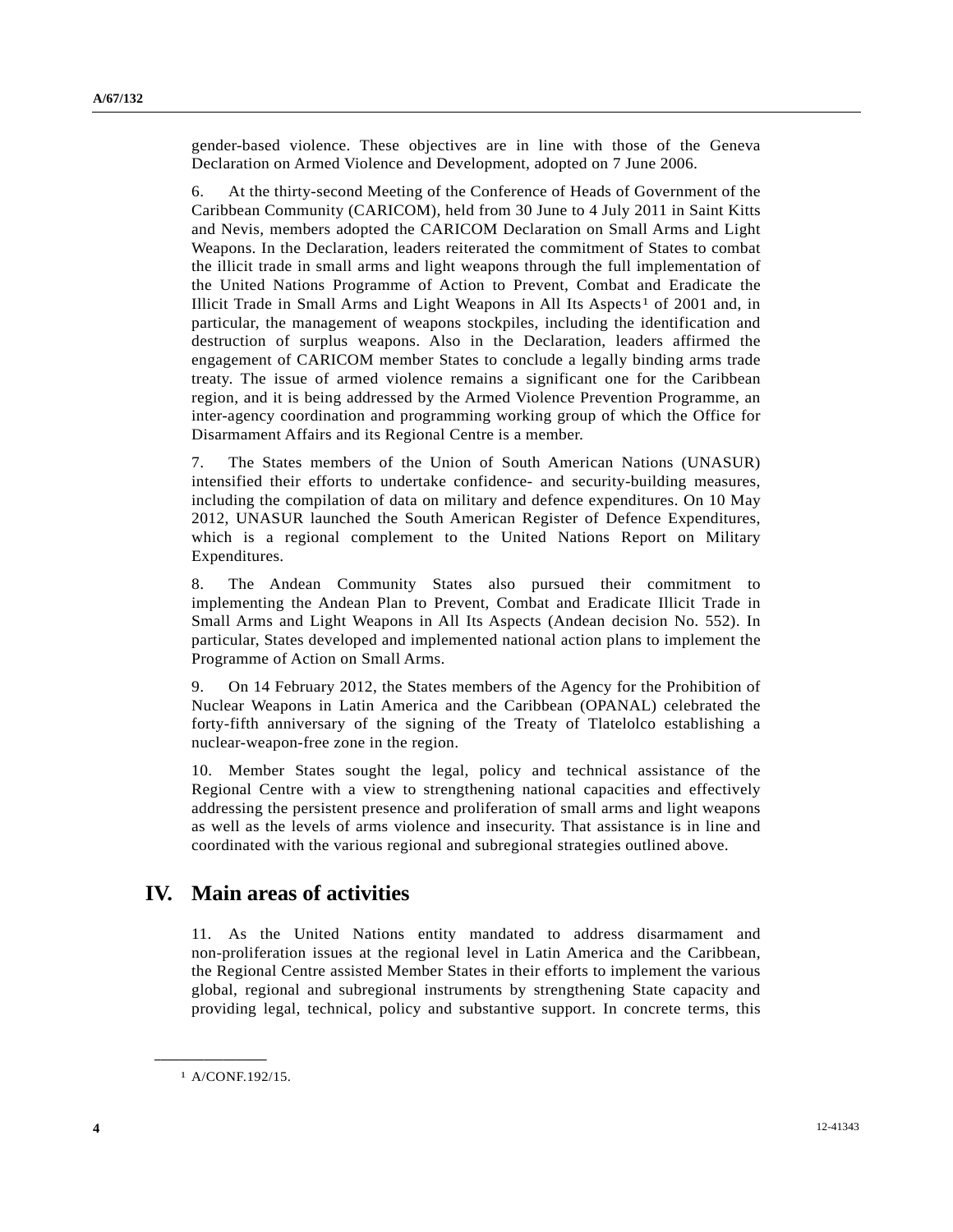gender-based violence. These objectives are in line with those of the Geneva Declaration on Armed Violence and Development, adopted on 7 June 2006.

6. At the thirty-second Meeting of the Conference of Heads of Government of the Caribbean Community (CARICOM), held from 30 June to 4 July 2011 in Saint Kitts and Nevis, members adopted the CARICOM Declaration on Small Arms and Light Weapons. In the Declaration, leaders reiterated the commitment of States to combat the illicit trade in small arms and light weapons through the full implementation of the United Nations Programme of Action to Prevent, Combat and Eradicate the Illicit Trade in Small Arms and Light Weapons in All Its Aspects<sup>1</sup> of 200[1](#page-3-0) and, in particular, the management of weapons stockpiles, including the identification and destruction of surplus weapons. Also in the Declaration, leaders affirmed the engagement of CARICOM member States to conclude a legally binding arms trade treaty. The issue of armed violence remains a significant one for the Caribbean region, and it is being addressed by the Armed Violence Prevention Programme, an inter-agency coordination and programming working group of which the Office for Disarmament Affairs and its Regional Centre is a member.

7. The States members of the Union of South American Nations (UNASUR) intensified their efforts to undertake confidence- and security-building measures, including the compilation of data on military and defence expenditures. On 10 May 2012, UNASUR launched the South American Register of Defence Expenditures, which is a regional complement to the United Nations Report on Military Expenditures.

8. The Andean Community States also pursued their commitment to implementing the Andean Plan to Prevent, Combat and Eradicate Illicit Trade in Small Arms and Light Weapons in All Its Aspects (Andean decision No. 552). In particular, States developed and implemented national action plans to implement the Programme of Action on Small Arms.

9. On 14 February 2012, the States members of the Agency for the Prohibition of Nuclear Weapons in Latin America and the Caribbean (OPANAL) celebrated the forty-fifth anniversary of the signing of the Treaty of Tlatelolco establishing a nuclear-weapon-free zone in the region.

10. Member States sought the legal, policy and technical assistance of the Regional Centre with a view to strengthening national capacities and effectively addressing the persistent presence and proliferation of small arms and light weapons as well as the levels of arms violence and insecurity. That assistance is in line and coordinated with the various regional and subregional strategies outlined above.

## **IV. Main areas of activities**

11. As the United Nations entity mandated to address disarmament and non-proliferation issues at the regional level in Latin America and the Caribbean, the Regional Centre assisted Member States in their efforts to implement the various global, regional and subregional instruments by strengthening State capacity and providing legal, technical, policy and substantive support. In concrete terms, this

1 A/CONF.192/15.

<span id="page-3-0"></span>**\_\_\_\_\_\_\_\_\_\_\_\_\_\_\_\_\_\_**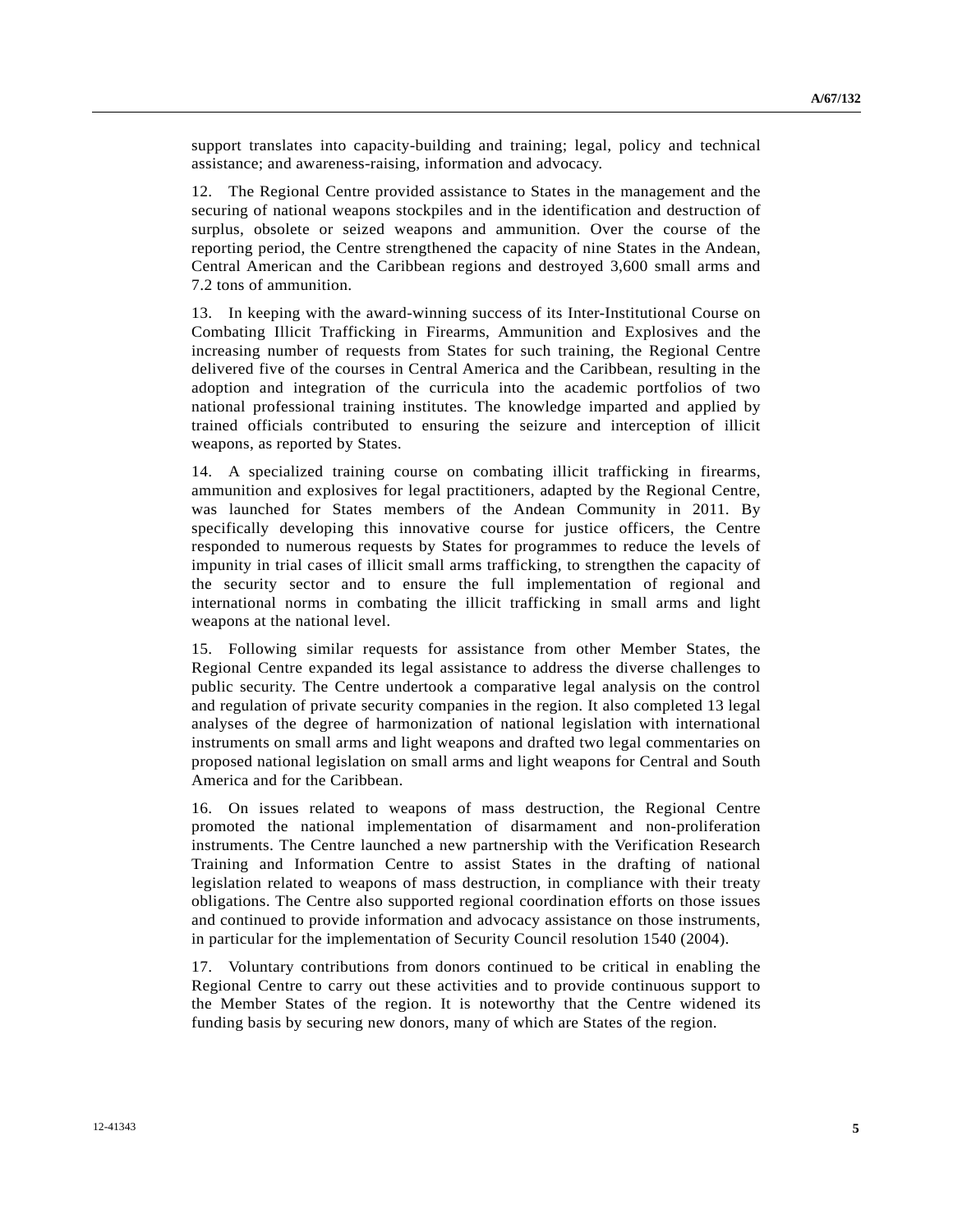support translates into capacity-building and training; legal, policy and technical assistance; and awareness-raising, information and advocacy.

12. The Regional Centre provided assistance to States in the management and the securing of national weapons stockpiles and in the identification and destruction of surplus, obsolete or seized weapons and ammunition. Over the course of the reporting period, the Centre strengthened the capacity of nine States in the Andean, Central American and the Caribbean regions and destroyed 3,600 small arms and 7.2 tons of ammunition.

13. In keeping with the award-winning success of its Inter-Institutional Course on Combating Illicit Trafficking in Firearms, Ammunition and Explosives and the increasing number of requests from States for such training, the Regional Centre delivered five of the courses in Central America and the Caribbean, resulting in the adoption and integration of the curricula into the academic portfolios of two national professional training institutes. The knowledge imparted and applied by trained officials contributed to ensuring the seizure and interception of illicit weapons, as reported by States.

14. A specialized training course on combating illicit trafficking in firearms, ammunition and explosives for legal practitioners, adapted by the Regional Centre, was launched for States members of the Andean Community in 2011. By specifically developing this innovative course for justice officers, the Centre responded to numerous requests by States for programmes to reduce the levels of impunity in trial cases of illicit small arms trafficking, to strengthen the capacity of the security sector and to ensure the full implementation of regional and international norms in combating the illicit trafficking in small arms and light weapons at the national level.

15. Following similar requests for assistance from other Member States, the Regional Centre expanded its legal assistance to address the diverse challenges to public security. The Centre undertook a comparative legal analysis on the control and regulation of private security companies in the region. It also completed 13 legal analyses of the degree of harmonization of national legislation with international instruments on small arms and light weapons and drafted two legal commentaries on proposed national legislation on small arms and light weapons for Central and South America and for the Caribbean.

16. On issues related to weapons of mass destruction, the Regional Centre promoted the national implementation of disarmament and non-proliferation instruments. The Centre launched a new partnership with the Verification Research Training and Information Centre to assist States in the drafting of national legislation related to weapons of mass destruction, in compliance with their treaty obligations. The Centre also supported regional coordination efforts on those issues and continued to provide information and advocacy assistance on those instruments, in particular for the implementation of Security Council resolution 1540 (2004).

17. Voluntary contributions from donors continued to be critical in enabling the Regional Centre to carry out these activities and to provide continuous support to the Member States of the region. It is noteworthy that the Centre widened its funding basis by securing new donors, many of which are States of the region.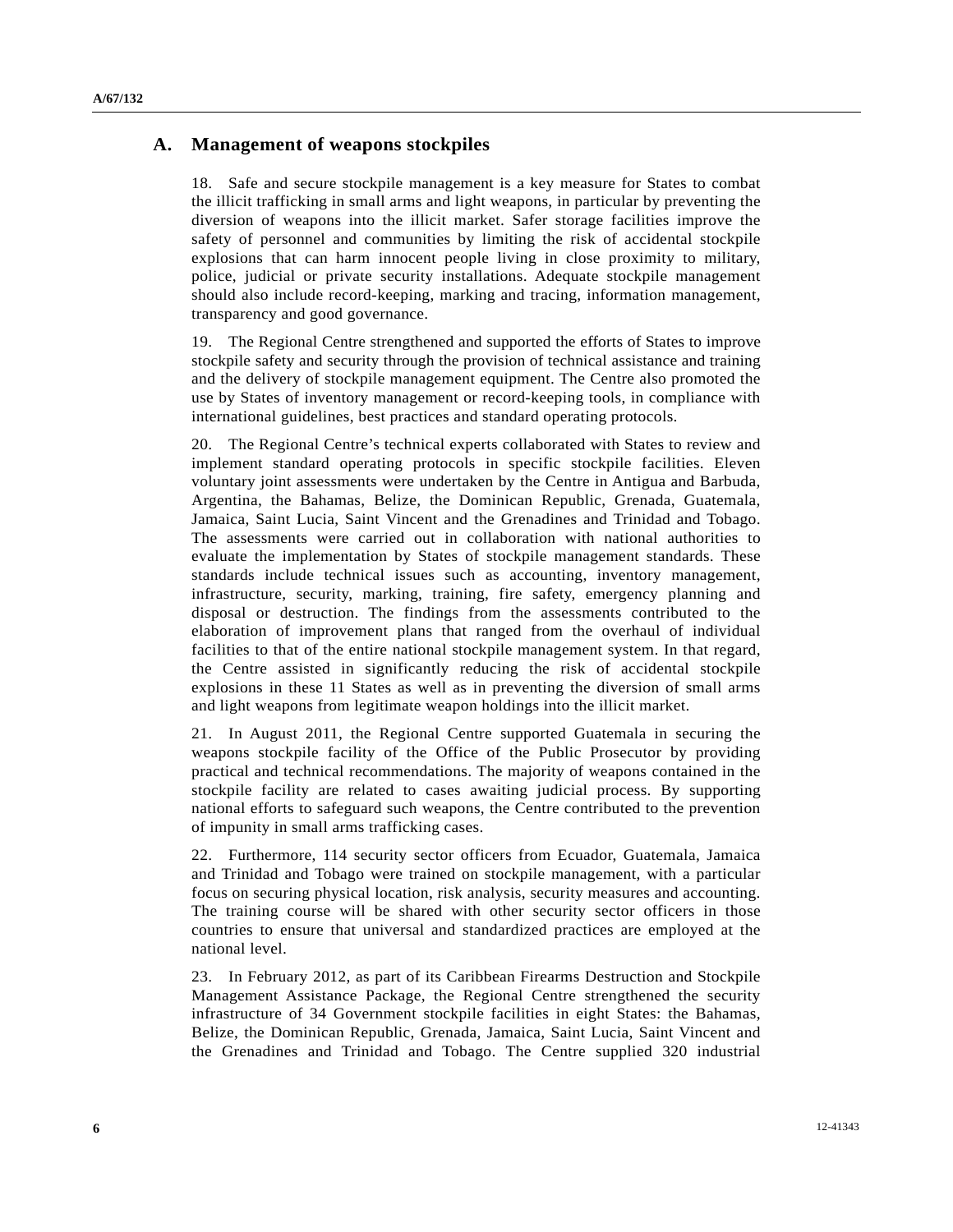### **A. Management of weapons stockpiles**

18. Safe and secure stockpile management is a key measure for States to combat the illicit trafficking in small arms and light weapons, in particular by preventing the diversion of weapons into the illicit market. Safer storage facilities improve the safety of personnel and communities by limiting the risk of accidental stockpile explosions that can harm innocent people living in close proximity to military, police, judicial or private security installations. Adequate stockpile management should also include record-keeping, marking and tracing, information management, transparency and good governance.

19. The Regional Centre strengthened and supported the efforts of States to improve stockpile safety and security through the provision of technical assistance and training and the delivery of stockpile management equipment. The Centre also promoted the use by States of inventory management or record-keeping tools, in compliance with international guidelines, best practices and standard operating protocols.

20. The Regional Centre's technical experts collaborated with States to review and implement standard operating protocols in specific stockpile facilities. Eleven voluntary joint assessments were undertaken by the Centre in Antigua and Barbuda, Argentina, the Bahamas, Belize, the Dominican Republic, Grenada, Guatemala, Jamaica, Saint Lucia, Saint Vincent and the Grenadines and Trinidad and Tobago. The assessments were carried out in collaboration with national authorities to evaluate the implementation by States of stockpile management standards. These standards include technical issues such as accounting, inventory management, infrastructure, security, marking, training, fire safety, emergency planning and disposal or destruction. The findings from the assessments contributed to the elaboration of improvement plans that ranged from the overhaul of individual facilities to that of the entire national stockpile management system. In that regard, the Centre assisted in significantly reducing the risk of accidental stockpile explosions in these 11 States as well as in preventing the diversion of small arms and light weapons from legitimate weapon holdings into the illicit market.

21. In August 2011, the Regional Centre supported Guatemala in securing the weapons stockpile facility of the Office of the Public Prosecutor by providing practical and technical recommendations. The majority of weapons contained in the stockpile facility are related to cases awaiting judicial process. By supporting national efforts to safeguard such weapons, the Centre contributed to the prevention of impunity in small arms trafficking cases.

22. Furthermore, 114 security sector officers from Ecuador, Guatemala, Jamaica and Trinidad and Tobago were trained on stockpile management, with a particular focus on securing physical location, risk analysis, security measures and accounting. The training course will be shared with other security sector officers in those countries to ensure that universal and standardized practices are employed at the national level.

23. In February 2012, as part of its Caribbean Firearms Destruction and Stockpile Management Assistance Package, the Regional Centre strengthened the security infrastructure of 34 Government stockpile facilities in eight States: the Bahamas, Belize, the Dominican Republic, Grenada, Jamaica, Saint Lucia, Saint Vincent and the Grenadines and Trinidad and Tobago. The Centre supplied 320 industrial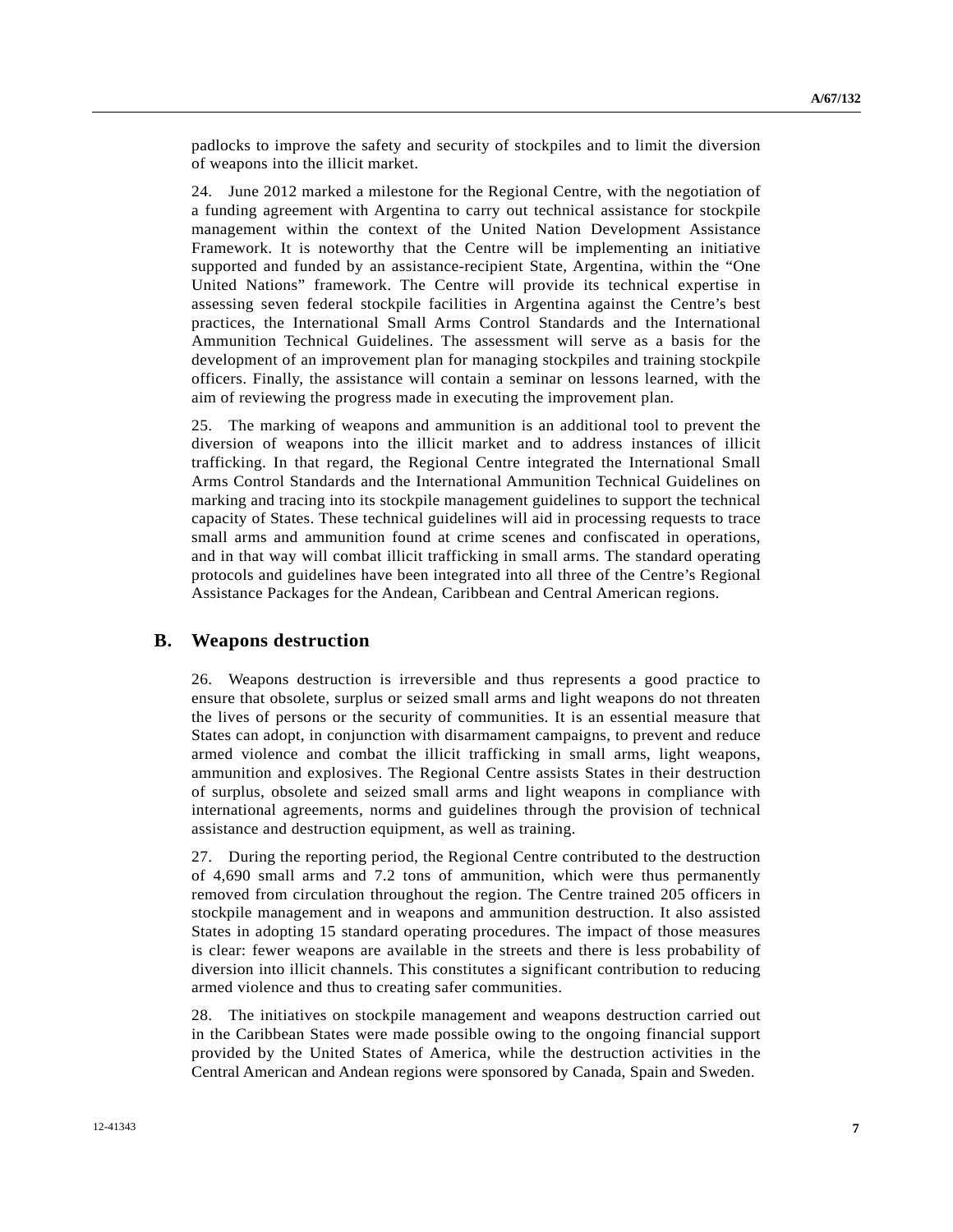padlocks to improve the safety and security of stockpiles and to limit the diversion of weapons into the illicit market.

24. June 2012 marked a milestone for the Regional Centre, with the negotiation of a funding agreement with Argentina to carry out technical assistance for stockpile management within the context of the United Nation Development Assistance Framework. It is noteworthy that the Centre will be implementing an initiative supported and funded by an assistance-recipient State, Argentina, within the "One United Nations" framework. The Centre will provide its technical expertise in assessing seven federal stockpile facilities in Argentina against the Centre's best practices, the International Small Arms Control Standards and the International Ammunition Technical Guidelines. The assessment will serve as a basis for the development of an improvement plan for managing stockpiles and training stockpile officers. Finally, the assistance will contain a seminar on lessons learned, with the aim of reviewing the progress made in executing the improvement plan.

25. The marking of weapons and ammunition is an additional tool to prevent the diversion of weapons into the illicit market and to address instances of illicit trafficking. In that regard, the Regional Centre integrated the International Small Arms Control Standards and the International Ammunition Technical Guidelines on marking and tracing into its stockpile management guidelines to support the technical capacity of States. These technical guidelines will aid in processing requests to trace small arms and ammunition found at crime scenes and confiscated in operations, and in that way will combat illicit trafficking in small arms. The standard operating protocols and guidelines have been integrated into all three of the Centre's Regional Assistance Packages for the Andean, Caribbean and Central American regions.

### **B. Weapons destruction**

26. Weapons destruction is irreversible and thus represents a good practice to ensure that obsolete, surplus or seized small arms and light weapons do not threaten the lives of persons or the security of communities. It is an essential measure that States can adopt, in conjunction with disarmament campaigns, to prevent and reduce armed violence and combat the illicit trafficking in small arms, light weapons, ammunition and explosives. The Regional Centre assists States in their destruction of surplus, obsolete and seized small arms and light weapons in compliance with international agreements, norms and guidelines through the provision of technical assistance and destruction equipment, as well as training.

27. During the reporting period, the Regional Centre contributed to the destruction of 4,690 small arms and 7.2 tons of ammunition, which were thus permanently removed from circulation throughout the region. The Centre trained 205 officers in stockpile management and in weapons and ammunition destruction. It also assisted States in adopting 15 standard operating procedures. The impact of those measures is clear: fewer weapons are available in the streets and there is less probability of diversion into illicit channels. This constitutes a significant contribution to reducing armed violence and thus to creating safer communities.

28. The initiatives on stockpile management and weapons destruction carried out in the Caribbean States were made possible owing to the ongoing financial support provided by the United States of America, while the destruction activities in the Central American and Andean regions were sponsored by Canada, Spain and Sweden.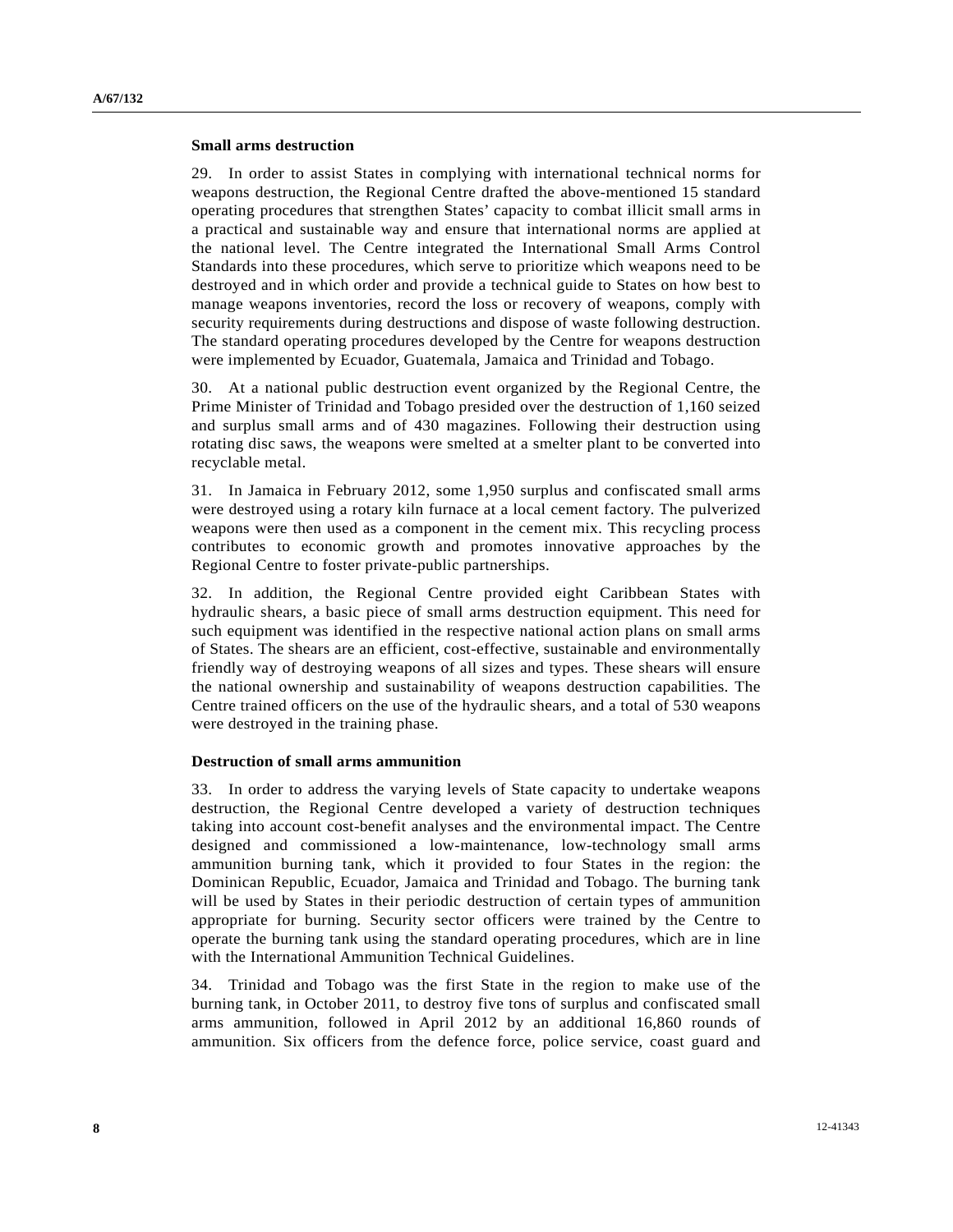#### **Small arms destruction**

29. In order to assist States in complying with international technical norms for weapons destruction, the Regional Centre drafted the above-mentioned 15 standard operating procedures that strengthen States' capacity to combat illicit small arms in a practical and sustainable way and ensure that international norms are applied at the national level. The Centre integrated the International Small Arms Control Standards into these procedures, which serve to prioritize which weapons need to be destroyed and in which order and provide a technical guide to States on how best to manage weapons inventories, record the loss or recovery of weapons, comply with security requirements during destructions and dispose of waste following destruction. The standard operating procedures developed by the Centre for weapons destruction were implemented by Ecuador, Guatemala, Jamaica and Trinidad and Tobago.

30. At a national public destruction event organized by the Regional Centre, the Prime Minister of Trinidad and Tobago presided over the destruction of 1,160 seized and surplus small arms and of 430 magazines. Following their destruction using rotating disc saws, the weapons were smelted at a smelter plant to be converted into recyclable metal.

31. In Jamaica in February 2012, some 1,950 surplus and confiscated small arms were destroyed using a rotary kiln furnace at a local cement factory. The pulverized weapons were then used as a component in the cement mix. This recycling process contributes to economic growth and promotes innovative approaches by the Regional Centre to foster private-public partnerships.

32. In addition, the Regional Centre provided eight Caribbean States with hydraulic shears, a basic piece of small arms destruction equipment. This need for such equipment was identified in the respective national action plans on small arms of States. The shears are an efficient, cost-effective, sustainable and environmentally friendly way of destroying weapons of all sizes and types. These shears will ensure the national ownership and sustainability of weapons destruction capabilities. The Centre trained officers on the use of the hydraulic shears, and a total of 530 weapons were destroyed in the training phase.

#### **Destruction of small arms ammunition**

33. In order to address the varying levels of State capacity to undertake weapons destruction, the Regional Centre developed a variety of destruction techniques taking into account cost-benefit analyses and the environmental impact. The Centre designed and commissioned a low-maintenance, low-technology small arms ammunition burning tank, which it provided to four States in the region: the Dominican Republic, Ecuador, Jamaica and Trinidad and Tobago. The burning tank will be used by States in their periodic destruction of certain types of ammunition appropriate for burning. Security sector officers were trained by the Centre to operate the burning tank using the standard operating procedures, which are in line with the International Ammunition Technical Guidelines.

34. Trinidad and Tobago was the first State in the region to make use of the burning tank, in October 2011, to destroy five tons of surplus and confiscated small arms ammunition, followed in April 2012 by an additional 16,860 rounds of ammunition. Six officers from the defence force, police service, coast guard and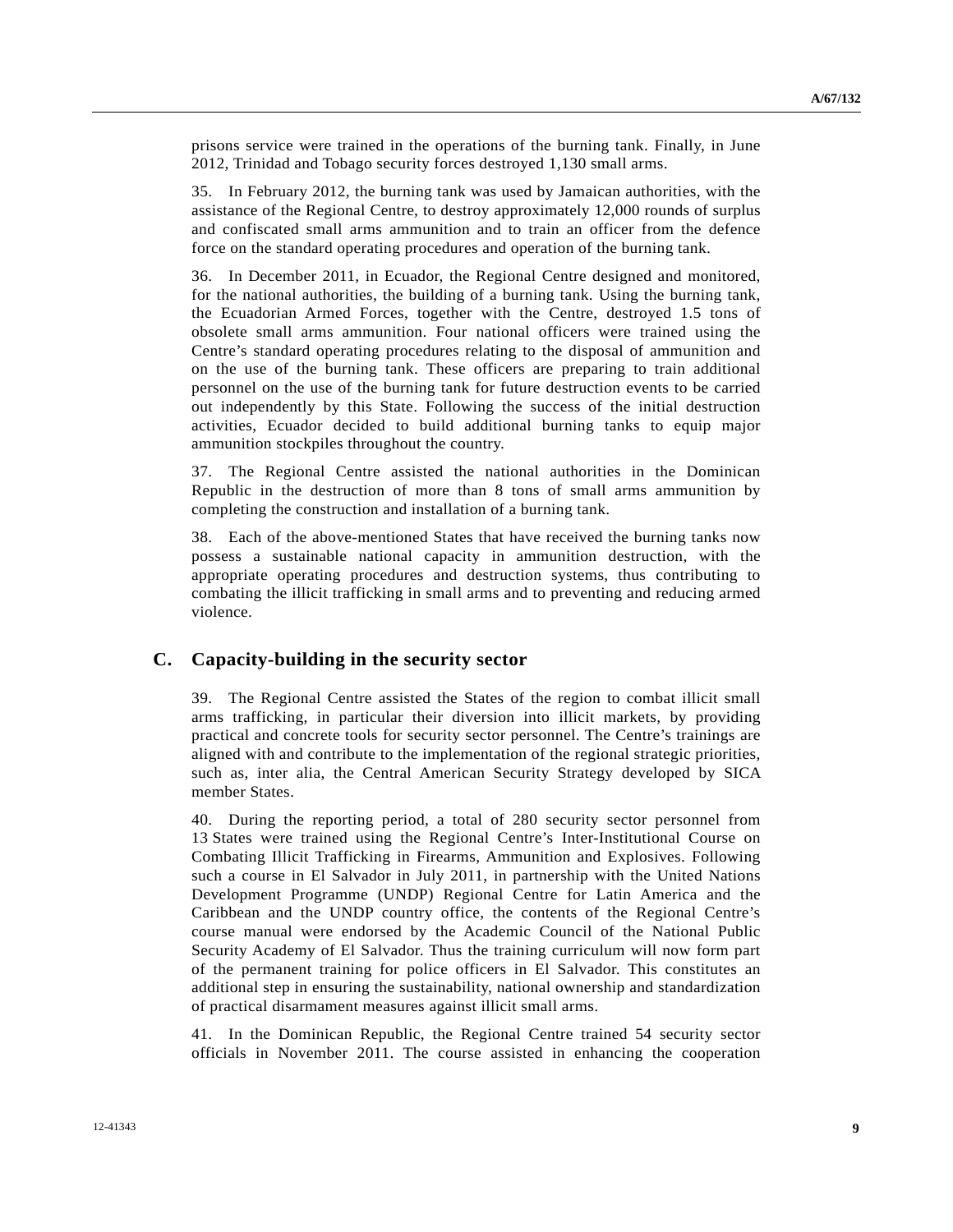prisons service were trained in the operations of the burning tank. Finally, in June 2012, Trinidad and Tobago security forces destroyed 1,130 small arms.

35. In February 2012, the burning tank was used by Jamaican authorities, with the assistance of the Regional Centre, to destroy approximately 12,000 rounds of surplus and confiscated small arms ammunition and to train an officer from the defence force on the standard operating procedures and operation of the burning tank.

36. In December 2011, in Ecuador, the Regional Centre designed and monitored, for the national authorities, the building of a burning tank. Using the burning tank, the Ecuadorian Armed Forces, together with the Centre, destroyed 1.5 tons of obsolete small arms ammunition. Four national officers were trained using the Centre's standard operating procedures relating to the disposal of ammunition and on the use of the burning tank. These officers are preparing to train additional personnel on the use of the burning tank for future destruction events to be carried out independently by this State. Following the success of the initial destruction activities, Ecuador decided to build additional burning tanks to equip major ammunition stockpiles throughout the country.

37. The Regional Centre assisted the national authorities in the Dominican Republic in the destruction of more than 8 tons of small arms ammunition by completing the construction and installation of a burning tank.

38. Each of the above-mentioned States that have received the burning tanks now possess a sustainable national capacity in ammunition destruction, with the appropriate operating procedures and destruction systems, thus contributing to combating the illicit trafficking in small arms and to preventing and reducing armed violence.

## **C. Capacity-building in the security sector**

39. The Regional Centre assisted the States of the region to combat illicit small arms trafficking, in particular their diversion into illicit markets, by providing practical and concrete tools for security sector personnel. The Centre's trainings are aligned with and contribute to the implementation of the regional strategic priorities, such as, inter alia, the Central American Security Strategy developed by SICA member States.

40. During the reporting period, a total of 280 security sector personnel from 13 States were trained using the Regional Centre's Inter-Institutional Course on Combating Illicit Trafficking in Firearms, Ammunition and Explosives. Following such a course in El Salvador in July 2011, in partnership with the United Nations Development Programme (UNDP) Regional Centre for Latin America and the Caribbean and the UNDP country office, the contents of the Regional Centre's course manual were endorsed by the Academic Council of the National Public Security Academy of El Salvador. Thus the training curriculum will now form part of the permanent training for police officers in El Salvador. This constitutes an additional step in ensuring the sustainability, national ownership and standardization of practical disarmament measures against illicit small arms.

41. In the Dominican Republic, the Regional Centre trained 54 security sector officials in November 2011. The course assisted in enhancing the cooperation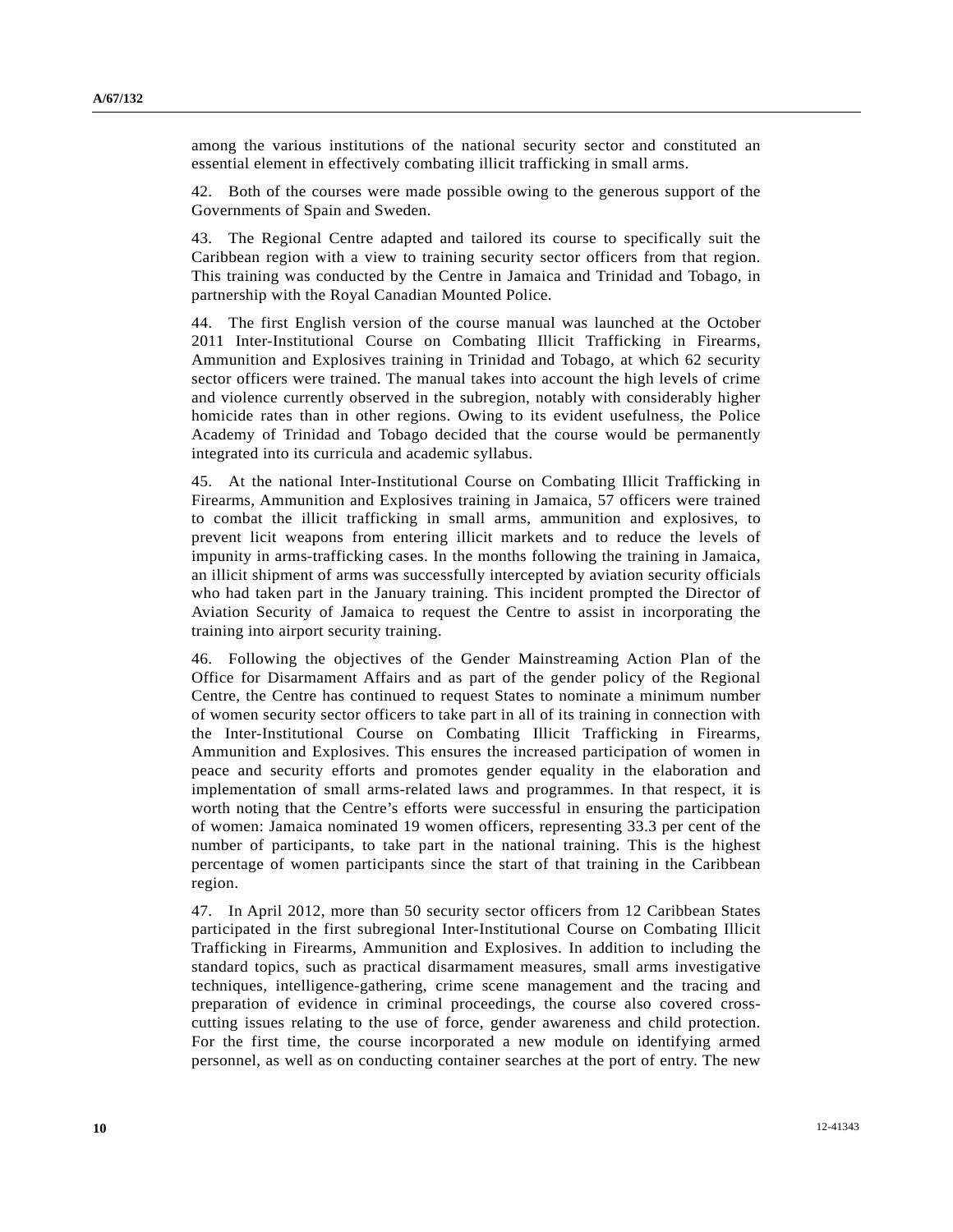among the various institutions of the national security sector and constituted an essential element in effectively combating illicit trafficking in small arms.

42. Both of the courses were made possible owing to the generous support of the Governments of Spain and Sweden.

43. The Regional Centre adapted and tailored its course to specifically suit the Caribbean region with a view to training security sector officers from that region. This training was conducted by the Centre in Jamaica and Trinidad and Tobago, in partnership with the Royal Canadian Mounted Police.

44. The first English version of the course manual was launched at the October 2011 Inter-Institutional Course on Combating Illicit Trafficking in Firearms, Ammunition and Explosives training in Trinidad and Tobago, at which 62 security sector officers were trained. The manual takes into account the high levels of crime and violence currently observed in the subregion, notably with considerably higher homicide rates than in other regions. Owing to its evident usefulness, the Police Academy of Trinidad and Tobago decided that the course would be permanently integrated into its curricula and academic syllabus.

45. At the national Inter-Institutional Course on Combating Illicit Trafficking in Firearms, Ammunition and Explosives training in Jamaica, 57 officers were trained to combat the illicit trafficking in small arms, ammunition and explosives, to prevent licit weapons from entering illicit markets and to reduce the levels of impunity in arms-trafficking cases. In the months following the training in Jamaica, an illicit shipment of arms was successfully intercepted by aviation security officials who had taken part in the January training. This incident prompted the Director of Aviation Security of Jamaica to request the Centre to assist in incorporating the training into airport security training.

46. Following the objectives of the Gender Mainstreaming Action Plan of the Office for Disarmament Affairs and as part of the gender policy of the Regional Centre, the Centre has continued to request States to nominate a minimum number of women security sector officers to take part in all of its training in connection with the Inter-Institutional Course on Combating Illicit Trafficking in Firearms, Ammunition and Explosives. This ensures the increased participation of women in peace and security efforts and promotes gender equality in the elaboration and implementation of small arms-related laws and programmes. In that respect, it is worth noting that the Centre's efforts were successful in ensuring the participation of women: Jamaica nominated 19 women officers, representing 33.3 per cent of the number of participants, to take part in the national training. This is the highest percentage of women participants since the start of that training in the Caribbean region.

47. In April 2012, more than 50 security sector officers from 12 Caribbean States participated in the first subregional Inter-Institutional Course on Combating Illicit Trafficking in Firearms, Ammunition and Explosives. In addition to including the standard topics, such as practical disarmament measures, small arms investigative techniques, intelligence-gathering, crime scene management and the tracing and preparation of evidence in criminal proceedings, the course also covered crosscutting issues relating to the use of force, gender awareness and child protection. For the first time, the course incorporated a new module on identifying armed personnel, as well as on conducting container searches at the port of entry. The new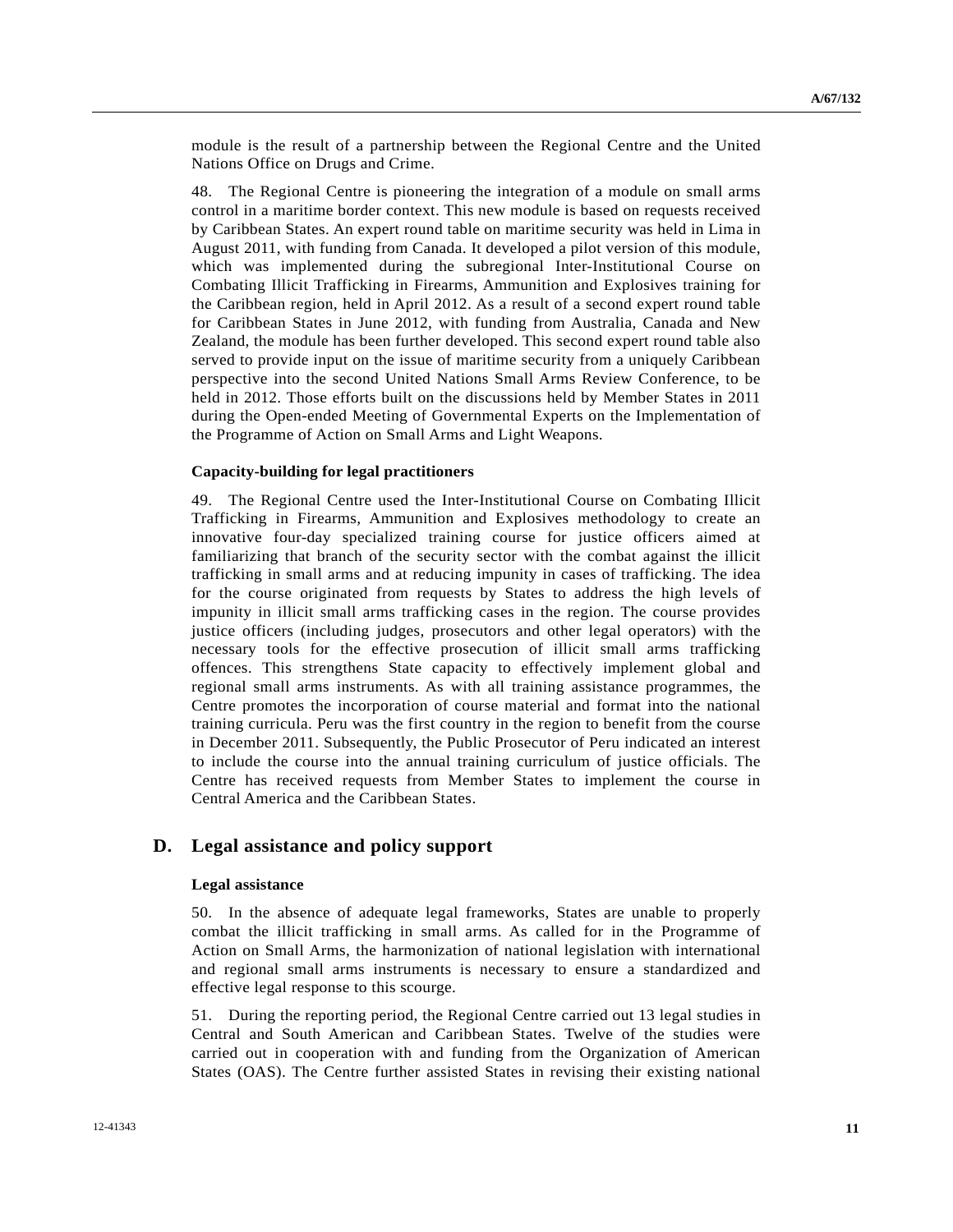module is the result of a partnership between the Regional Centre and the United Nations Office on Drugs and Crime.

48. The Regional Centre is pioneering the integration of a module on small arms control in a maritime border context. This new module is based on requests received by Caribbean States. An expert round table on maritime security was held in Lima in August 2011, with funding from Canada. It developed a pilot version of this module, which was implemented during the subregional Inter-Institutional Course on Combating Illicit Trafficking in Firearms, Ammunition and Explosives training for the Caribbean region, held in April 2012. As a result of a second expert round table for Caribbean States in June 2012, with funding from Australia, Canada and New Zealand, the module has been further developed. This second expert round table also served to provide input on the issue of maritime security from a uniquely Caribbean perspective into the second United Nations Small Arms Review Conference, to be held in 2012. Those efforts built on the discussions held by Member States in 2011 during the Open-ended Meeting of Governmental Experts on the Implementation of the Programme of Action on Small Arms and Light Weapons.

#### **Capacity-building for legal practitioners**

49. The Regional Centre used the Inter-Institutional Course on Combating Illicit Trafficking in Firearms, Ammunition and Explosives methodology to create an innovative four-day specialized training course for justice officers aimed at familiarizing that branch of the security sector with the combat against the illicit trafficking in small arms and at reducing impunity in cases of trafficking. The idea for the course originated from requests by States to address the high levels of impunity in illicit small arms trafficking cases in the region. The course provides justice officers (including judges, prosecutors and other legal operators) with the necessary tools for the effective prosecution of illicit small arms trafficking offences. This strengthens State capacity to effectively implement global and regional small arms instruments. As with all training assistance programmes, the Centre promotes the incorporation of course material and format into the national training curricula. Peru was the first country in the region to benefit from the course in December 2011. Subsequently, the Public Prosecutor of Peru indicated an interest to include the course into the annual training curriculum of justice officials. The Centre has received requests from Member States to implement the course in Central America and the Caribbean States.

## **D. Legal assistance and policy support**

#### **Legal assistance**

50. In the absence of adequate legal frameworks, States are unable to properly combat the illicit trafficking in small arms. As called for in the Programme of Action on Small Arms, the harmonization of national legislation with international and regional small arms instruments is necessary to ensure a standardized and effective legal response to this scourge.

51. During the reporting period, the Regional Centre carried out 13 legal studies in Central and South American and Caribbean States. Twelve of the studies were carried out in cooperation with and funding from the Organization of American States (OAS). The Centre further assisted States in revising their existing national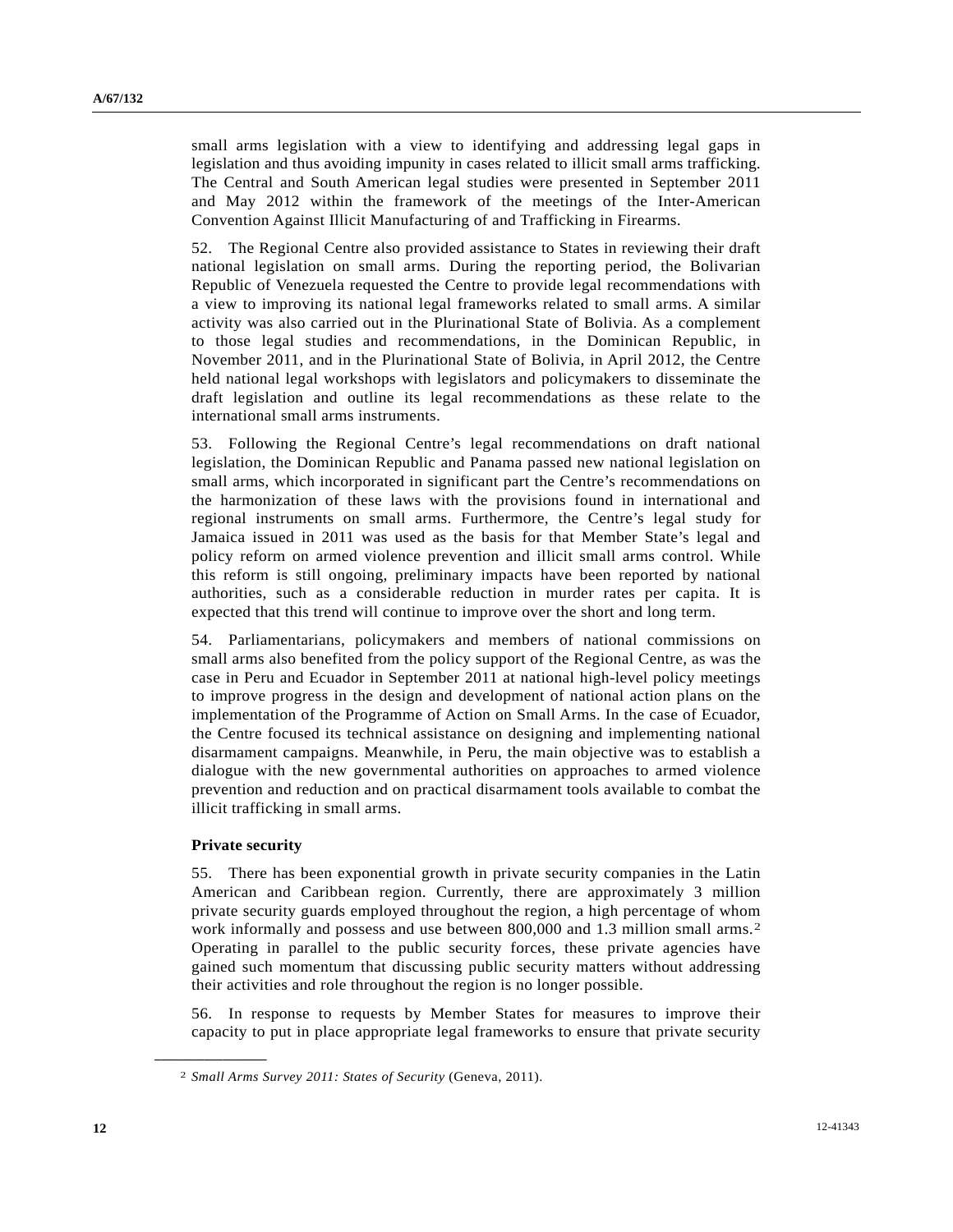small arms legislation with a view to identifying and addressing legal gaps in legislation and thus avoiding impunity in cases related to illicit small arms trafficking. The Central and South American legal studies were presented in September 2011 and May 2012 within the framework of the meetings of the Inter-American Convention Against Illicit Manufacturing of and Trafficking in Firearms.

52. The Regional Centre also provided assistance to States in reviewing their draft national legislation on small arms. During the reporting period, the Bolivarian Republic of Venezuela requested the Centre to provide legal recommendations with a view to improving its national legal frameworks related to small arms. A similar activity was also carried out in the Plurinational State of Bolivia. As a complement to those legal studies and recommendations, in the Dominican Republic, in November 2011, and in the Plurinational State of Bolivia, in April 2012, the Centre held national legal workshops with legislators and policymakers to disseminate the draft legislation and outline its legal recommendations as these relate to the international small arms instruments.

53. Following the Regional Centre's legal recommendations on draft national legislation, the Dominican Republic and Panama passed new national legislation on small arms, which incorporated in significant part the Centre's recommendations on the harmonization of these laws with the provisions found in international and regional instruments on small arms. Furthermore, the Centre's legal study for Jamaica issued in 2011 was used as the basis for that Member State's legal and policy reform on armed violence prevention and illicit small arms control. While this reform is still ongoing, preliminary impacts have been reported by national authorities, such as a considerable reduction in murder rates per capita. It is expected that this trend will continue to improve over the short and long term.

54. Parliamentarians, policymakers and members of national commissions on small arms also benefited from the policy support of the Regional Centre, as was the case in Peru and Ecuador in September 2011 at national high-level policy meetings to improve progress in the design and development of national action plans on the implementation of the Programme of Action on Small Arms. In the case of Ecuador, the Centre focused its technical assistance on designing and implementing national disarmament campaigns. Meanwhile, in Peru, the main objective was to establish a dialogue with the new governmental authorities on approaches to armed violence prevention and reduction and on practical disarmament tools available to combat the illicit trafficking in small arms.

#### **Private security**

<span id="page-11-0"></span>**\_\_\_\_\_\_\_\_\_\_\_\_\_\_\_\_\_\_** 

55. There has been exponential growth in private security companies in the Latin American and Caribbean region. Currently, there are approximately 3 million private security guards employed throughout the region, a high percentage of whom work informally and possess and use between 800,000 and 1.3 million small arms.<sup>[2](#page-11-0)</sup> Operating in parallel to the public security forces, these private agencies have gained such momentum that discussing public security matters without addressing their activities and role throughout the region is no longer possible.

56. In response to requests by Member States for measures to improve their capacity to put in place appropriate legal frameworks to ensure that private security

<sup>2</sup> *Small Arms Survey 2011: States of Security* (Geneva, 2011).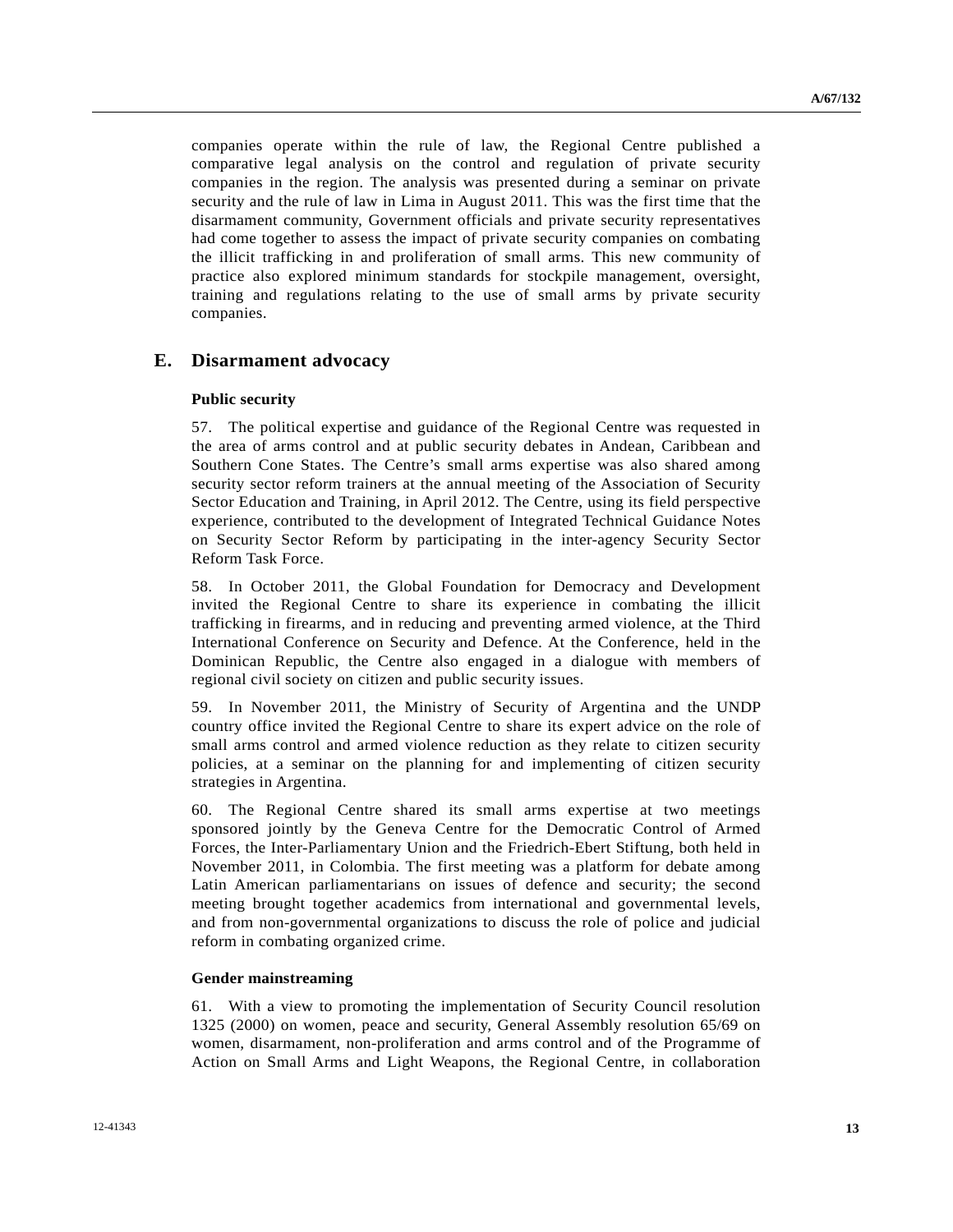companies operate within the rule of law, the Regional Centre published a comparative legal analysis on the control and regulation of private security companies in the region. The analysis was presented during a seminar on private security and the rule of law in Lima in August 2011. This was the first time that the disarmament community, Government officials and private security representatives had come together to assess the impact of private security companies on combating the illicit trafficking in and proliferation of small arms. This new community of practice also explored minimum standards for stockpile management, oversight, training and regulations relating to the use of small arms by private security companies.

### **E. Disarmament advocacy**

#### **Public security**

57. The political expertise and guidance of the Regional Centre was requested in the area of arms control and at public security debates in Andean, Caribbean and Southern Cone States. The Centre's small arms expertise was also shared among security sector reform trainers at the annual meeting of the Association of Security Sector Education and Training, in April 2012. The Centre, using its field perspective experience, contributed to the development of Integrated Technical Guidance Notes on Security Sector Reform by participating in the inter-agency Security Sector Reform Task Force.

58. In October 2011, the Global Foundation for Democracy and Development invited the Regional Centre to share its experience in combating the illicit trafficking in firearms, and in reducing and preventing armed violence, at the Third International Conference on Security and Defence. At the Conference, held in the Dominican Republic, the Centre also engaged in a dialogue with members of regional civil society on citizen and public security issues.

59. In November 2011, the Ministry of Security of Argentina and the UNDP country office invited the Regional Centre to share its expert advice on the role of small arms control and armed violence reduction as they relate to citizen security policies, at a seminar on the planning for and implementing of citizen security strategies in Argentina.

60. The Regional Centre shared its small arms expertise at two meetings sponsored jointly by the Geneva Centre for the Democratic Control of Armed Forces, the Inter-Parliamentary Union and the Friedrich-Ebert Stiftung, both held in November 2011, in Colombia. The first meeting was a platform for debate among Latin American parliamentarians on issues of defence and security; the second meeting brought together academics from international and governmental levels, and from non-governmental organizations to discuss the role of police and judicial reform in combating organized crime.

#### **Gender mainstreaming**

61. With a view to promoting the implementation of Security Council resolution 1325 (2000) on women, peace and security, General Assembly resolution 65/69 on women, disarmament, non-proliferation and arms control and of the Programme of Action on Small Arms and Light Weapons, the Regional Centre, in collaboration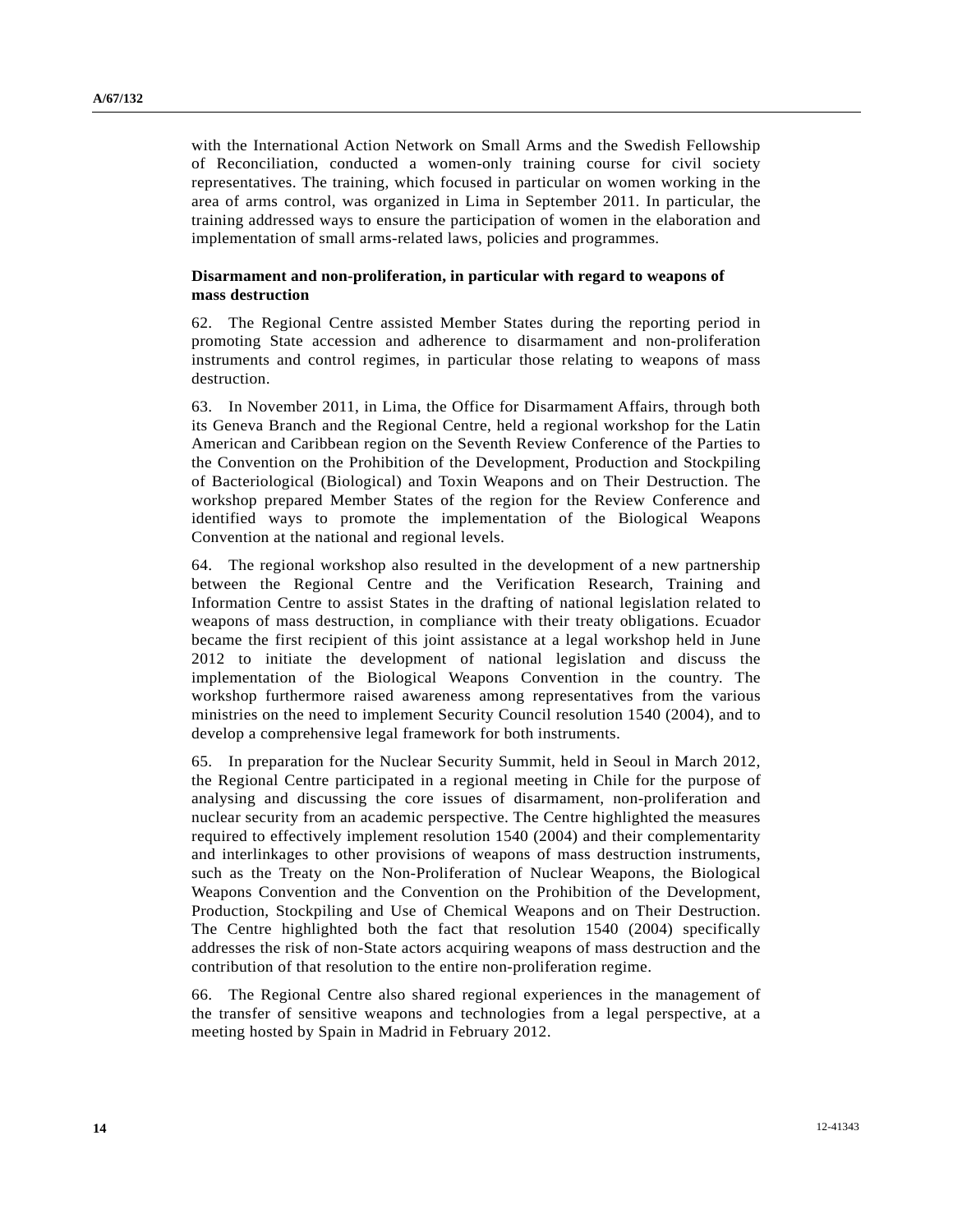with the International Action Network on Small Arms and the Swedish Fellowship of Reconciliation, conducted a women-only training course for civil society representatives. The training, which focused in particular on women working in the area of arms control, was organized in Lima in September 2011. In particular, the training addressed ways to ensure the participation of women in the elaboration and implementation of small arms-related laws, policies and programmes.

#### **Disarmament and non-proliferation, in particular with regard to weapons of mass destruction**

62. The Regional Centre assisted Member States during the reporting period in promoting State accession and adherence to disarmament and non-proliferation instruments and control regimes, in particular those relating to weapons of mass destruction.

63. In November 2011, in Lima, the Office for Disarmament Affairs, through both its Geneva Branch and the Regional Centre, held a regional workshop for the Latin American and Caribbean region on the Seventh Review Conference of the Parties to the Convention on the Prohibition of the Development, Production and Stockpiling of Bacteriological (Biological) and Toxin Weapons and on Their Destruction. The workshop prepared Member States of the region for the Review Conference and identified ways to promote the implementation of the Biological Weapons Convention at the national and regional levels.

64. The regional workshop also resulted in the development of a new partnership between the Regional Centre and the Verification Research, Training and Information Centre to assist States in the drafting of national legislation related to weapons of mass destruction, in compliance with their treaty obligations. Ecuador became the first recipient of this joint assistance at a legal workshop held in June 2012 to initiate the development of national legislation and discuss the implementation of the Biological Weapons Convention in the country. The workshop furthermore raised awareness among representatives from the various ministries on the need to implement Security Council resolution 1540 (2004), and to develop a comprehensive legal framework for both instruments.

65. In preparation for the Nuclear Security Summit, held in Seoul in March 2012, the Regional Centre participated in a regional meeting in Chile for the purpose of analysing and discussing the core issues of disarmament, non-proliferation and nuclear security from an academic perspective. The Centre highlighted the measures required to effectively implement resolution 1540 (2004) and their complementarity and interlinkages to other provisions of weapons of mass destruction instruments, such as the Treaty on the Non-Proliferation of Nuclear Weapons, the Biological Weapons Convention and the Convention on the Prohibition of the Development, Production, Stockpiling and Use of Chemical Weapons and on Their Destruction. The Centre highlighted both the fact that resolution 1540 (2004) specifically addresses the risk of non-State actors acquiring weapons of mass destruction and the contribution of that resolution to the entire non-proliferation regime.

66. The Regional Centre also shared regional experiences in the management of the transfer of sensitive weapons and technologies from a legal perspective, at a meeting hosted by Spain in Madrid in February 2012.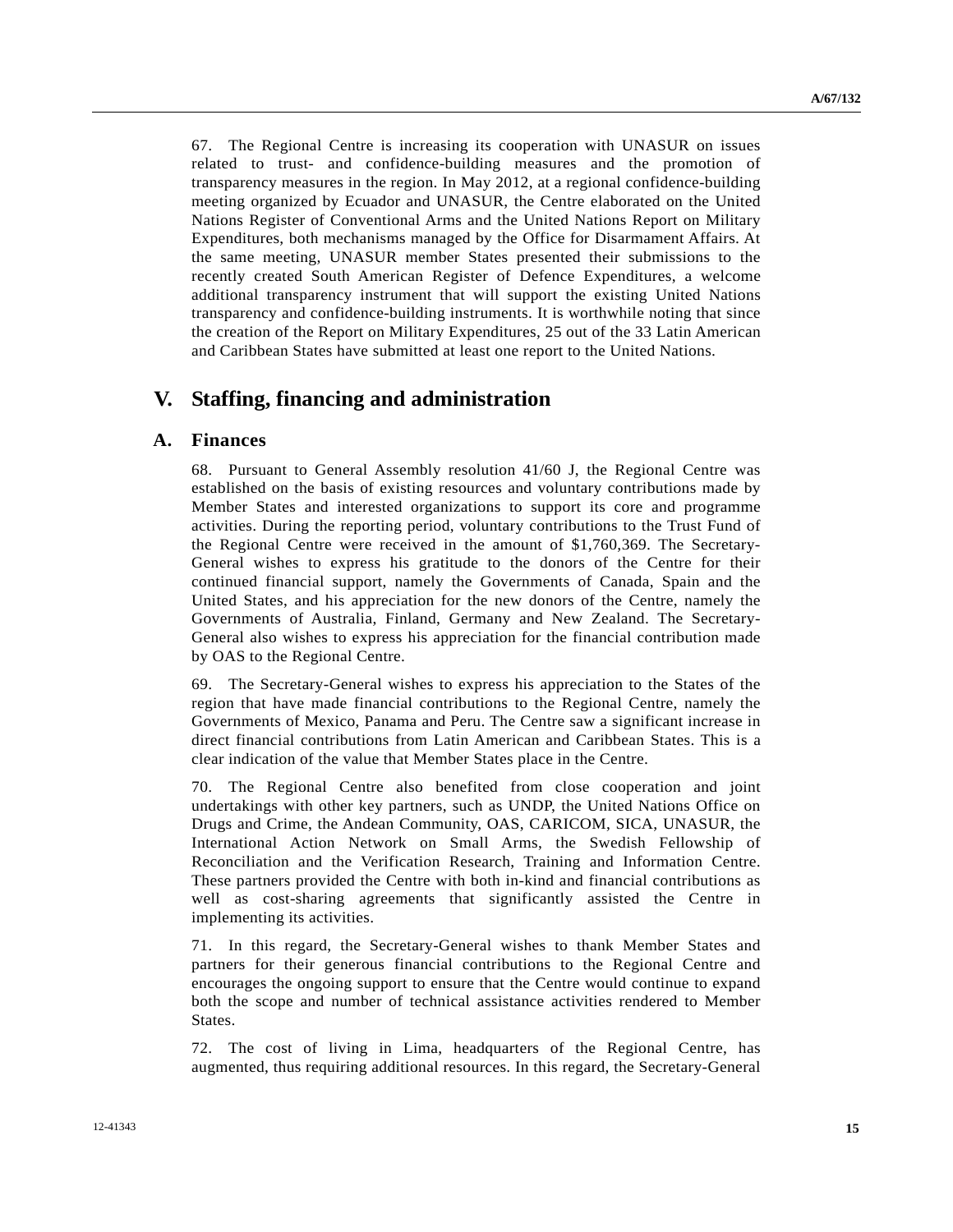67. The Regional Centre is increasing its cooperation with UNASUR on issues related to trust- and confidence-building measures and the promotion of transparency measures in the region. In May 2012, at a regional confidence-building meeting organized by Ecuador and UNASUR, the Centre elaborated on the United Nations Register of Conventional Arms and the United Nations Report on Military Expenditures, both mechanisms managed by the Office for Disarmament Affairs. At the same meeting, UNASUR member States presented their submissions to the recently created South American Register of Defence Expenditures, a welcome additional transparency instrument that will support the existing United Nations transparency and confidence-building instruments. It is worthwhile noting that since the creation of the Report on Military Expenditures, 25 out of the 33 Latin American and Caribbean States have submitted at least one report to the United Nations.

## **V. Staffing, financing and administration**

### **A. Finances**

68. Pursuant to General Assembly resolution 41/60 J, the Regional Centre was established on the basis of existing resources and voluntary contributions made by Member States and interested organizations to support its core and programme activities. During the reporting period, voluntary contributions to the Trust Fund of the Regional Centre were received in the amount of \$1,760,369. The Secretary-General wishes to express his gratitude to the donors of the Centre for their continued financial support, namely the Governments of Canada, Spain and the United States, and his appreciation for the new donors of the Centre, namely the Governments of Australia, Finland, Germany and New Zealand. The Secretary-General also wishes to express his appreciation for the financial contribution made by OAS to the Regional Centre.

69. The Secretary-General wishes to express his appreciation to the States of the region that have made financial contributions to the Regional Centre, namely the Governments of Mexico, Panama and Peru. The Centre saw a significant increase in direct financial contributions from Latin American and Caribbean States. This is a clear indication of the value that Member States place in the Centre.

70. The Regional Centre also benefited from close cooperation and joint undertakings with other key partners, such as UNDP, the United Nations Office on Drugs and Crime, the Andean Community, OAS, CARICOM, SICA, UNASUR, the International Action Network on Small Arms, the Swedish Fellowship of Reconciliation and the Verification Research, Training and Information Centre. These partners provided the Centre with both in-kind and financial contributions as well as cost-sharing agreements that significantly assisted the Centre in implementing its activities.

71. In this regard, the Secretary-General wishes to thank Member States and partners for their generous financial contributions to the Regional Centre and encourages the ongoing support to ensure that the Centre would continue to expand both the scope and number of technical assistance activities rendered to Member States.

72. The cost of living in Lima, headquarters of the Regional Centre, has augmented, thus requiring additional resources. In this regard, the Secretary-General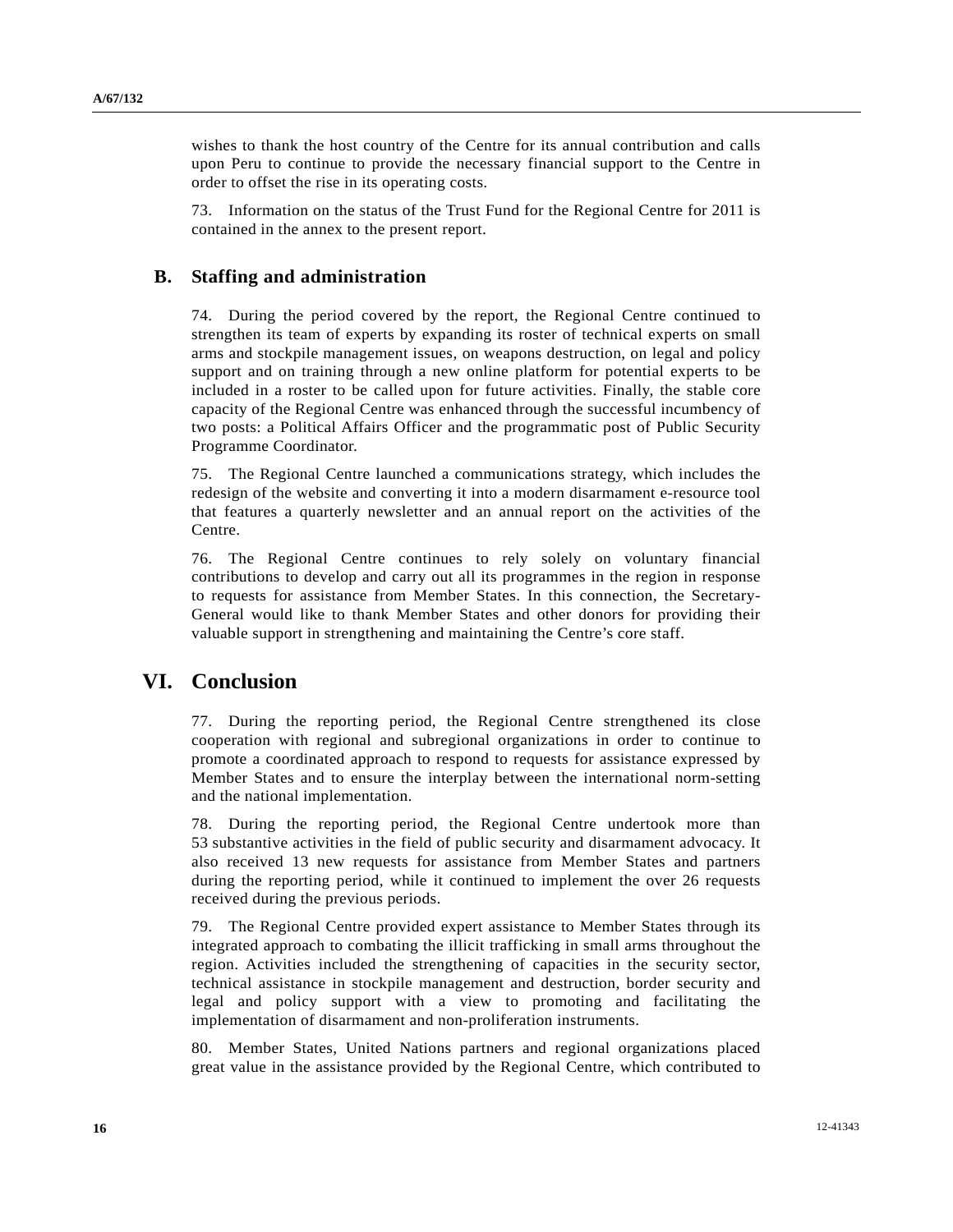wishes to thank the host country of the Centre for its annual contribution and calls upon Peru to continue to provide the necessary financial support to the Centre in order to offset the rise in its operating costs.

73. Information on the status of the Trust Fund for the Regional Centre for 2011 is contained in the annex to the present report.

### **B. Staffing and administration**

74. During the period covered by the report, the Regional Centre continued to strengthen its team of experts by expanding its roster of technical experts on small arms and stockpile management issues, on weapons destruction, on legal and policy support and on training through a new online platform for potential experts to be included in a roster to be called upon for future activities. Finally, the stable core capacity of the Regional Centre was enhanced through the successful incumbency of two posts: a Political Affairs Officer and the programmatic post of Public Security Programme Coordinator.

75. The Regional Centre launched a communications strategy, which includes the redesign of the website and converting it into a modern disarmament e-resource tool that features a quarterly newsletter and an annual report on the activities of the Centre.

76. The Regional Centre continues to rely solely on voluntary financial contributions to develop and carry out all its programmes in the region in response to requests for assistance from Member States. In this connection, the Secretary-General would like to thank Member States and other donors for providing their valuable support in strengthening and maintaining the Centre's core staff.

## **VI. Conclusion**

77. During the reporting period, the Regional Centre strengthened its close cooperation with regional and subregional organizations in order to continue to promote a coordinated approach to respond to requests for assistance expressed by Member States and to ensure the interplay between the international norm-setting and the national implementation.

78. During the reporting period, the Regional Centre undertook more than 53 substantive activities in the field of public security and disarmament advocacy. It also received 13 new requests for assistance from Member States and partners during the reporting period, while it continued to implement the over 26 requests received during the previous periods.

79. The Regional Centre provided expert assistance to Member States through its integrated approach to combating the illicit trafficking in small arms throughout the region. Activities included the strengthening of capacities in the security sector, technical assistance in stockpile management and destruction, border security and legal and policy support with a view to promoting and facilitating the implementation of disarmament and non-proliferation instruments.

80. Member States, United Nations partners and regional organizations placed great value in the assistance provided by the Regional Centre, which contributed to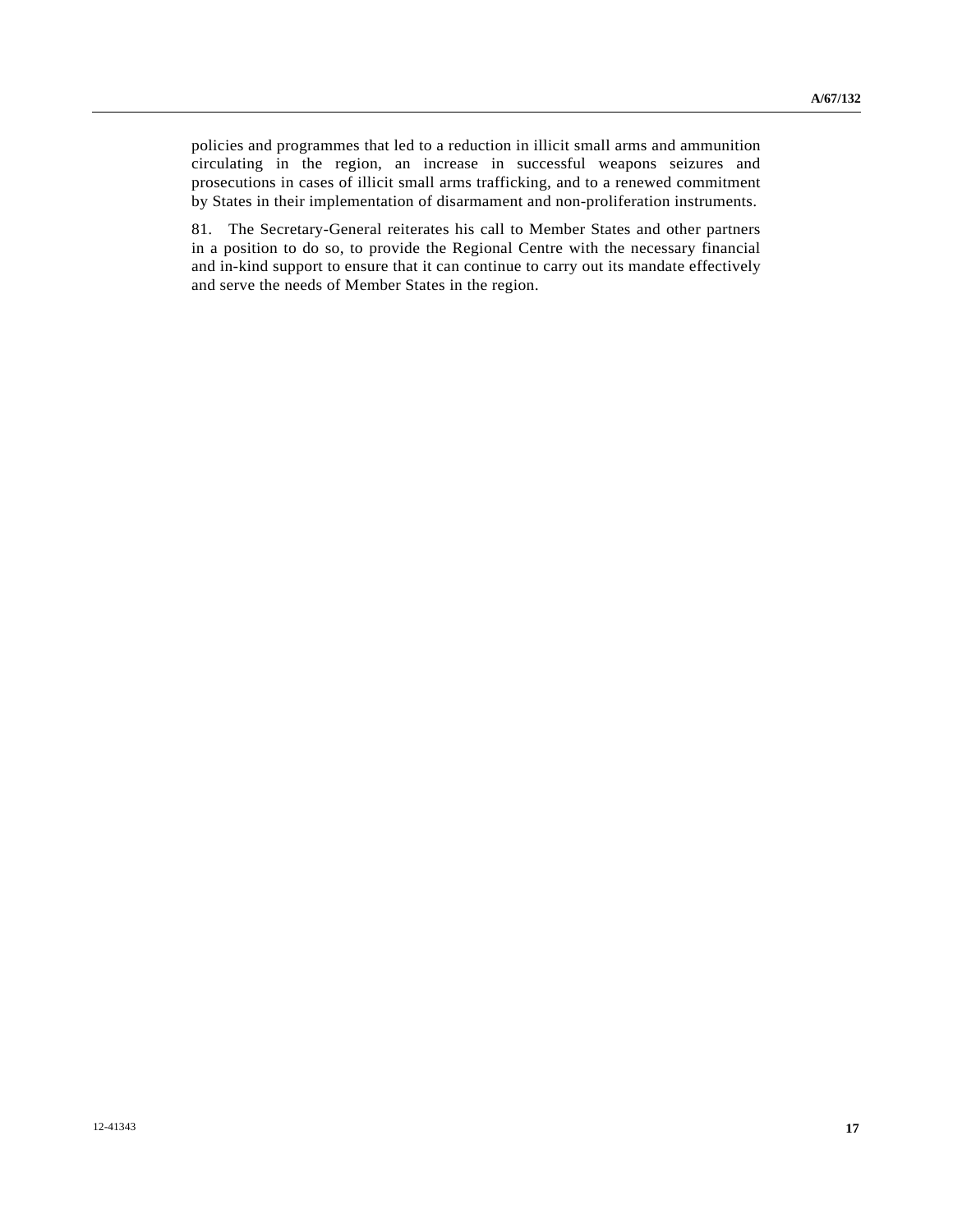policies and programmes that led to a reduction in illicit small arms and ammunition circulating in the region, an increase in successful weapons seizures and prosecutions in cases of illicit small arms trafficking, and to a renewed commitment by States in their implementation of disarmament and non-proliferation instruments.

81. The Secretary-General reiterates his call to Member States and other partners in a position to do so, to provide the Regional Centre with the necessary financial and in-kind support to ensure that it can continue to carry out its mandate effectively and serve the needs of Member States in the region.